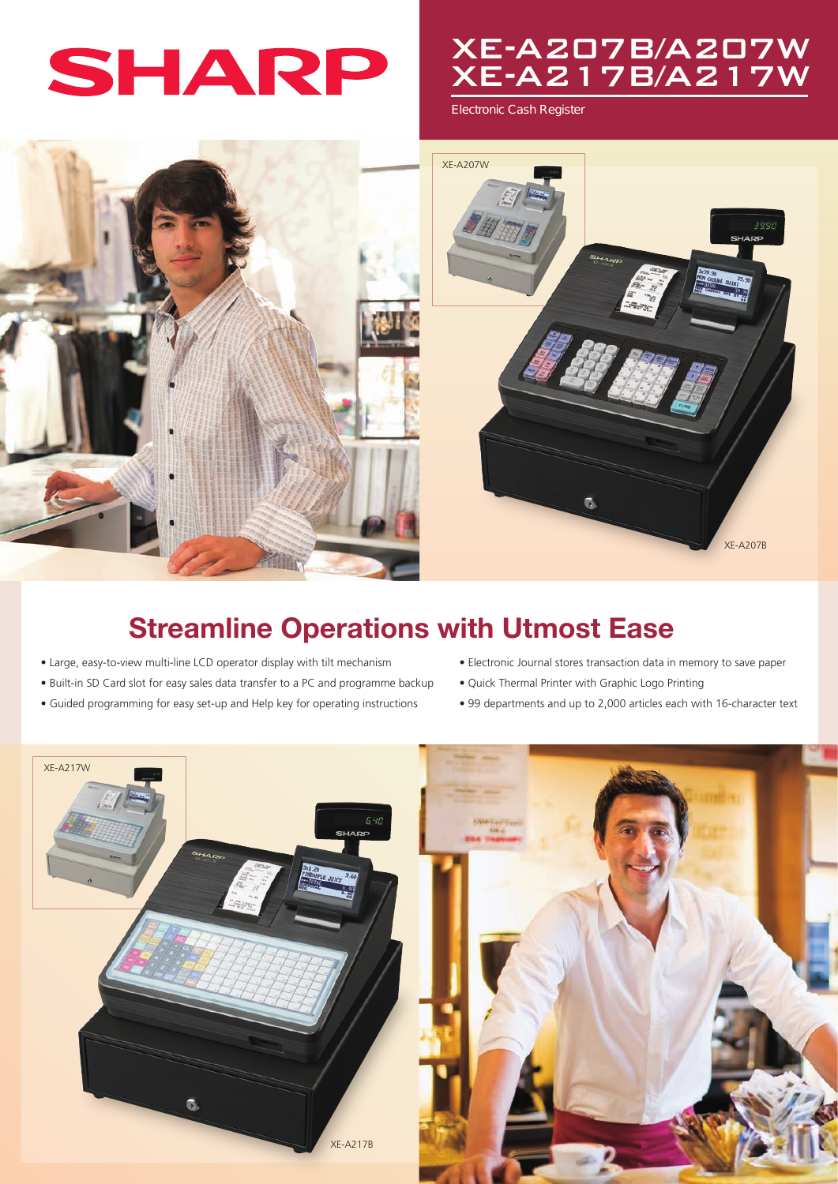

# XE-A207B/A207W XE-A217B/A217W

Electronic Cash Register



## Streamline Operations with Utmost Ease

- Large, easy-to-view multi-line LCD operator display with tilt mechanism
- Built-in SD Card slot for easy sales data transfer to a PC and programme backup
- Guided programming for easy set-up and Help key for operating instructions
- Electronic Journal stores transaction data in memory to save paper
- Quick Thermal Printer with Graphic Logo Printing
- 99 departments and up to 2,000 articles each with 16-character text